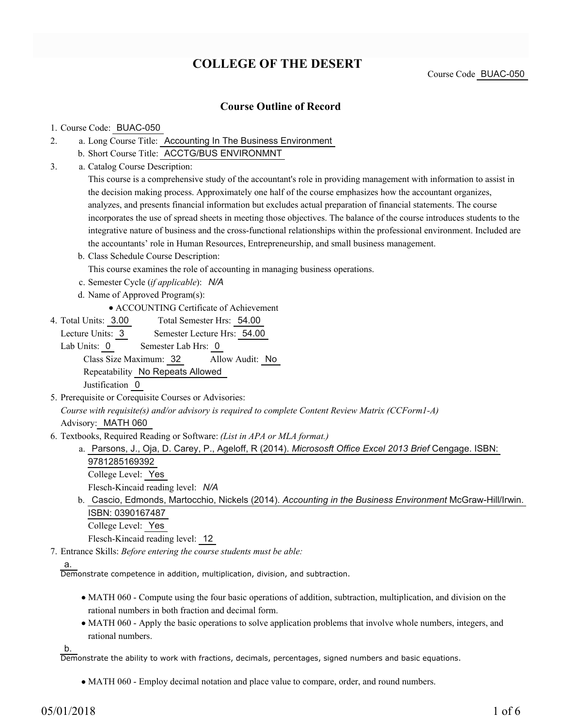## **COLLEGE OF THE DESERT**

Course Code BUAC-050

### **Course Outline of Record**

#### 1. Course Code: BUAC-050

- a. Long Course Title: Accounting In The Business Environment 2.
	- b. Short Course Title: ACCTG/BUS ENVIRONMNT
- Catalog Course Description: a. 3.

This course is a comprehensive study of the accountant's role in providing management with information to assist in the decision making process. Approximately one half of the course emphasizes how the accountant organizes, analyzes, and presents financial information but excludes actual preparation of financial statements. The course incorporates the use of spread sheets in meeting those objectives. The balance of the course introduces students to the integrative nature of business and the cross-functional relationships within the professional environment. Included are the accountants' role in Human Resources, Entrepreneurship, and small business management.

- b. Class Schedule Course Description:
- This course examines the role of accounting in managing business operations.
- c. Semester Cycle (*if applicable*): *N/A*
- d. Name of Approved Program(s):
	- ACCOUNTING Certificate of Achievement
- Total Semester Hrs: 54.00 4. Total Units: 3.00

Lecture Units: 3 Semester Lecture Hrs: 54.00

Lab Units: 0 Semester Lab Hrs: 0 Class Size Maximum: 32 Allow Audit: No Repeatability No Repeats Allowed

Justification 0

- 5. Prerequisite or Corequisite Courses or Advisories: *Course with requisite(s) and/or advisory is required to complete Content Review Matrix (CCForm1-A)* Advisory: MATH 060
- Textbooks, Required Reading or Software: *(List in APA or MLA format.)* 6.
	- a. Parsons, J., Oja, D. Carey, P., Ageloff, R (2014). *Micrososft Office Excel 2013 Brief* Cengage. ISBN: 9781285169392
		- College Level: Yes Flesch-Kincaid reading level: *N/A*
		- b. Cascio, Edmonds, Martocchio, Nickels (2014). *Accounting in the Business Environment* McGraw-Hill/Irwin. ISBN: 0390167487 College Level: Yes

Flesch-Kincaid reading level: 12

Entrance Skills: *Before entering the course students must be able:* 7.

#### a.

Demonstrate competence in addition, multiplication, division, and subtraction.

- MATH 060 Compute using the four basic operations of addition, subtraction, multiplication, and division on the rational numbers in both fraction and decimal form.
- MATH 060 Apply the basic operations to solve application problems that involve whole numbers, integers, and rational numbers.

b.

Demonstrate the ability to work with fractions, decimals, percentages, signed numbers and basic equations.

MATH 060 - Employ decimal notation and place value to compare, order, and round numbers.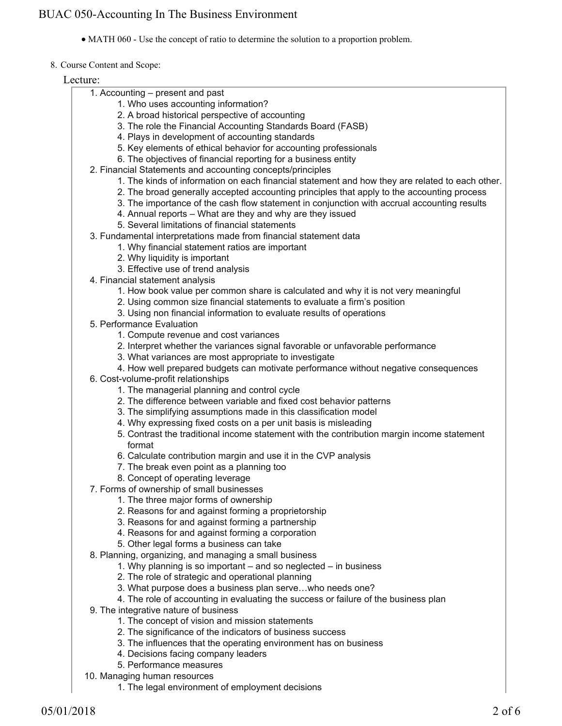MATH 060 - Use the concept of ratio to determine the solution to a proportion problem.

#### 8. Course Content and Scope:

| Lecture:                                                                                                |
|---------------------------------------------------------------------------------------------------------|
| 1. Accounting – present and past                                                                        |
| 1. Who uses accounting information?                                                                     |
| 2. A broad historical perspective of accounting                                                         |
| 3. The role the Financial Accounting Standards Board (FASB)                                             |
| 4. Plays in development of accounting standards                                                         |
| 5. Key elements of ethical behavior for accounting professionals                                        |
| 6. The objectives of financial reporting for a business entity                                          |
| 2. Financial Statements and accounting concepts/principles                                              |
| 1. The kinds of information on each financial statement and how they are related to each other.         |
| 2. The broad generally accepted accounting principles that apply to the accounting process              |
| 3. The importance of the cash flow statement in conjunction with accrual accounting results             |
| 4. Annual reports - What are they and why are they issued                                               |
| 5. Several limitations of financial statements                                                          |
| 3. Fundamental interpretations made from financial statement data                                       |
| 1. Why financial statement ratios are important                                                         |
| 2. Why liquidity is important                                                                           |
| 3. Effective use of trend analysis                                                                      |
| 4. Financial statement analysis                                                                         |
| 1. How book value per common share is calculated and why it is not very meaningful                      |
| 2. Using common size financial statements to evaluate a firm's position                                 |
| 3. Using non financial information to evaluate results of operations                                    |
| 5. Performance Evaluation                                                                               |
| 1. Compute revenue and cost variances                                                                   |
| 2. Interpret whether the variances signal favorable or unfavorable performance                          |
| 3. What variances are most appropriate to investigate                                                   |
| 4. How well prepared budgets can motivate performance without negative consequences                     |
| 6. Cost-volume-profit relationships                                                                     |
| 1. The managerial planning and control cycle                                                            |
| 2. The difference between variable and fixed cost behavior patterns                                     |
| 3. The simplifying assumptions made in this classification model                                        |
| 4. Why expressing fixed costs on a per unit basis is misleading                                         |
| 5. Contrast the traditional income statement with the contribution margin income statement              |
| format                                                                                                  |
| 6. Calculate contribution margin and use it in the CVP analysis                                         |
| 7. The break even point as a planning too                                                               |
| 8. Concept of operating leverage                                                                        |
| 7. Forms of ownership of small businesses                                                               |
| 1. The three major forms of ownership                                                                   |
| 2. Reasons for and against forming a proprietorship<br>3. Reasons for and against forming a partnership |
| 4. Reasons for and against forming a corporation                                                        |
| 5. Other legal forms a business can take                                                                |
| 8. Planning, organizing, and managing a small business                                                  |
| 1. Why planning is so important – and so neglected – in business                                        |
| 2. The role of strategic and operational planning                                                       |
| 3. What purpose does a business plan servewho needs one?                                                |
| 4. The role of accounting in evaluating the success or failure of the business plan                     |
| 9. The integrative nature of business                                                                   |
| 1. The concept of vision and mission statements                                                         |
| 2. The significance of the indicators of business success                                               |
| 3. The influences that the operating environment has on business                                        |
| 4. Decisions facing company leaders                                                                     |
| 5. Performance measures                                                                                 |
| 10. Managing human resources                                                                            |
| 1. The legal environment of employment decisions                                                        |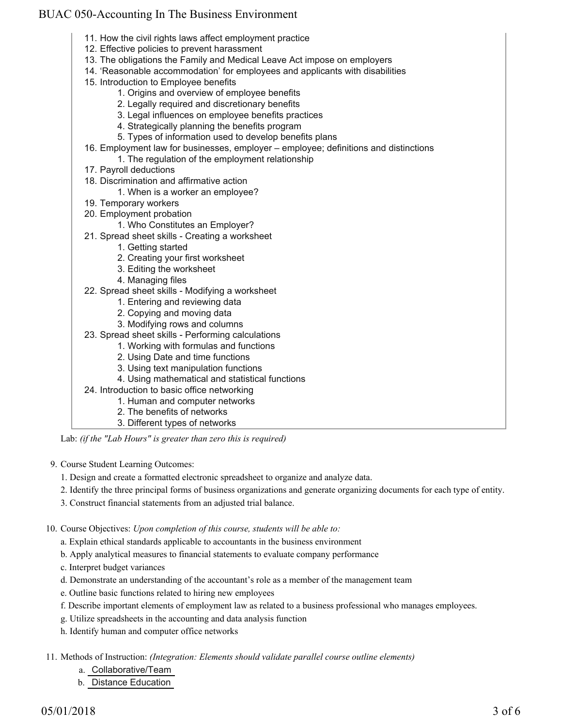- 11. How the civil rights laws affect employment practice
- 12. Effective policies to prevent harassment
- 13. The obligations the Family and Medical Leave Act impose on employers
- 14. 'Reasonable accommodation' for employees and applicants with disabilities
- 15. Introduction to Employee benefits
	- 1. Origins and overview of employee benefits
	- 2. Legally required and discretionary benefits
	- 3. Legal influences on employee benefits practices
	- 4. Strategically planning the benefits program
	- 5. Types of information used to develop benefits plans
- Employment law for businesses, employer employee; definitions and distinctions 16.
	- 1. The regulation of the employment relationship
- 17. Payroll deductions
- 18. Discrimination and affirmative action
	- 1. When is a worker an employee?
- 19. Temporary workers
- 20. Employment probation
	- 1. Who Constitutes an Employer?
- 21. Spread sheet skills Creating a worksheet
	- 1. Getting started
	- 2. Creating your first worksheet
	- 3. Editing the worksheet
	- 4. Managing files
- 22. Spread sheet skills Modifying a worksheet
	- 1. Entering and reviewing data
	- 2. Copying and moving data
	- 3. Modifying rows and columns
- 23. Spread sheet skills Performing calculations
	- 1. Working with formulas and functions
	- 2. Using Date and time functions
	- 3. Using text manipulation functions
	- 4. Using mathematical and statistical functions
- 24. Introduction to basic office networking
	- 1. Human and computer networks
	- 2. The benefits of networks
	- 3. Different types of networks

Lab: *(if the "Lab Hours" is greater than zero this is required)*

9. Course Student Learning Outcomes:

- 1. Design and create a formatted electronic spreadsheet to organize and analyze data.
- 2. Identify the three principal forms of business organizations and generate organizing documents for each type of entity.
- 3. Construct financial statements from an adjusted trial balance.

10. Course Objectives: Upon completion of this course, students will be able to:

- a. Explain ethical standards applicable to accountants in the business environment
- b. Apply analytical measures to financial statements to evaluate company performance
- c. Interpret budget variances
- d. Demonstrate an understanding of the accountant's role as a member of the management team
- e. Outline basic functions related to hiring new employees
- f. Describe important elements of employment law as related to a business professional who manages employees.
- g. Utilize spreadsheets in the accounting and data analysis function
- h. Identify human and computer office networks

Methods of Instruction: *(Integration: Elements should validate parallel course outline elements)* 11.

- a. Collaborative/Team
- b. Distance Education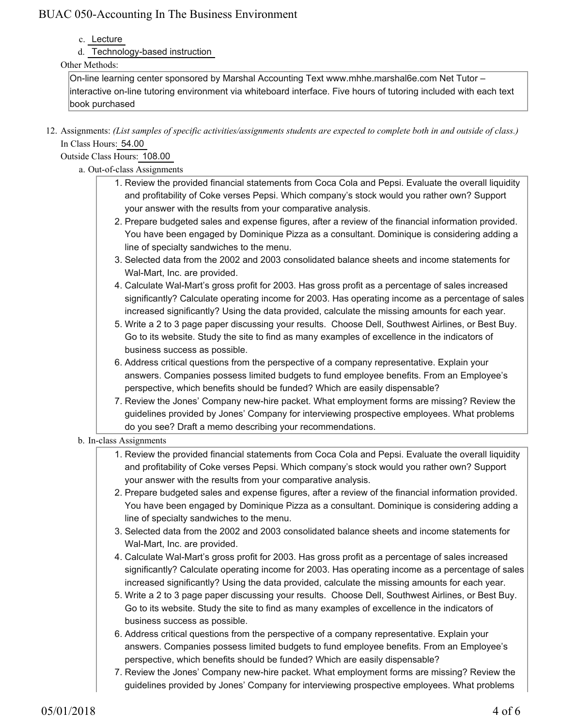- c. Lecture
- d. Technology-based instruction

### Other Methods:

On-line learning center sponsored by Marshal Accounting Text www.mhhe.marshal6e.com Net Tutor – interactive on-line tutoring environment via whiteboard interface. Five hours of tutoring included with each text book purchased

12. Assignments: (List samples of specific activities/assignments students are expected to complete both in and outside of class.) In Class Hours: 54.00

Outside Class Hours: 108.00

- a. Out-of-class Assignments
	- 1. Review the provided financial statements from Coca Cola and Pepsi. Evaluate the overall liquidity and profitability of Coke verses Pepsi. Which company's stock would you rather own? Support your answer with the results from your comparative analysis.
	- Prepare budgeted sales and expense figures, after a review of the financial information provided. 2. You have been engaged by Dominique Pizza as a consultant. Dominique is considering adding a line of specialty sandwiches to the menu.
	- Selected data from the 2002 and 2003 consolidated balance sheets and income statements for 3. Wal-Mart, Inc. are provided.
	- Calculate Wal-Mart's gross profit for 2003. Has gross profit as a percentage of sales increased 4. significantly? Calculate operating income for 2003. Has operating income as a percentage of sales increased significantly? Using the data provided, calculate the missing amounts for each year.
	- 5. Write a 2 to 3 page paper discussing your results. Choose Dell, Southwest Airlines, or Best Buy. Go to its website. Study the site to find as many examples of excellence in the indicators of business success as possible.
	- 6. Address critical questions from the perspective of a company representative. Explain your answers. Companies possess limited budgets to fund employee benefits. From an Employee's perspective, which benefits should be funded? Which are easily dispensable?
	- 7. Review the Jones' Company new-hire packet. What employment forms are missing? Review the guidelines provided by Jones' Company for interviewing prospective employees. What problems do you see? Draft a memo describing your recommendations.

### b. In-class Assignments

- 1. Review the provided financial statements from Coca Cola and Pepsi. Evaluate the overall liquidity and profitability of Coke verses Pepsi. Which company's stock would you rather own? Support your answer with the results from your comparative analysis.
- 2. Prepare budgeted sales and expense figures, after a review of the financial information provided. You have been engaged by Dominique Pizza as a consultant. Dominique is considering adding a line of specialty sandwiches to the menu.
- Selected data from the 2002 and 2003 consolidated balance sheets and income statements for 3. Wal-Mart, Inc. are provided.
- Calculate Wal-Mart's gross profit for 2003. Has gross profit as a percentage of sales increased 4. significantly? Calculate operating income for 2003. Has operating income as a percentage of sales increased significantly? Using the data provided, calculate the missing amounts for each year.
- 5. Write a 2 to 3 page paper discussing your results. Choose Dell, Southwest Airlines, or Best Buy. Go to its website. Study the site to find as many examples of excellence in the indicators of business success as possible.
- 6. Address critical questions from the perspective of a company representative. Explain your answers. Companies possess limited budgets to fund employee benefits. From an Employee's perspective, which benefits should be funded? Which are easily dispensable?
- 7. Review the Jones' Company new-hire packet. What employment forms are missing? Review the guidelines provided by Jones' Company for interviewing prospective employees. What problems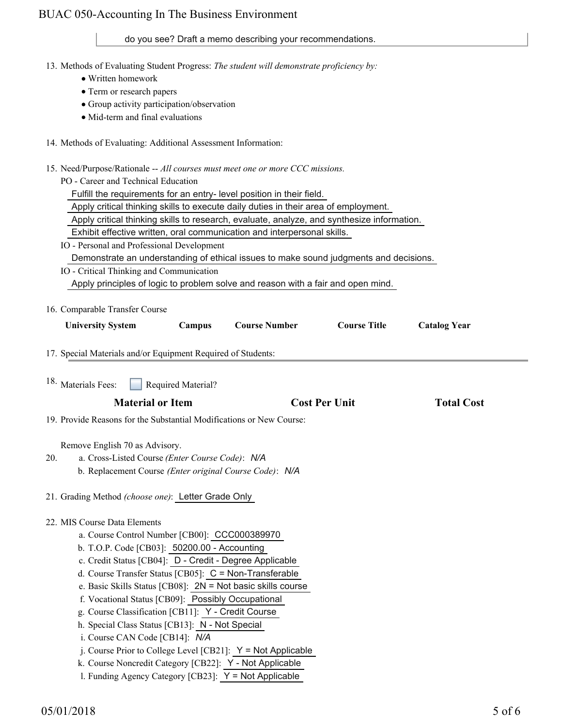### do you see? Draft a memo describing your recommendations.

| do you see? Draft a memo describing your recommendations.                                                                |
|--------------------------------------------------------------------------------------------------------------------------|
| 13. Methods of Evaluating Student Progress: The student will demonstrate proficiency by:<br>• Written homework           |
| • Term or research papers                                                                                                |
| • Group activity participation/observation                                                                               |
| • Mid-term and final evaluations                                                                                         |
|                                                                                                                          |
| 14. Methods of Evaluating: Additional Assessment Information:                                                            |
| 15. Need/Purpose/Rationale -- All courses must meet one or more CCC missions.                                            |
| PO - Career and Technical Education                                                                                      |
| Fulfill the requirements for an entry- level position in their field.                                                    |
| Apply critical thinking skills to execute daily duties in their area of employment.                                      |
| Apply critical thinking skills to research, evaluate, analyze, and synthesize information.                               |
| Exhibit effective written, oral communication and interpersonal skills.                                                  |
| IO - Personal and Professional Development                                                                               |
| Demonstrate an understanding of ethical issues to make sound judgments and decisions.                                    |
| IO - Critical Thinking and Communication                                                                                 |
| Apply principles of logic to problem solve and reason with a fair and open mind.                                         |
|                                                                                                                          |
| 16. Comparable Transfer Course                                                                                           |
| <b>Course Title</b><br><b>Course Number</b><br><b>University System</b><br>Campus<br><b>Catalog Year</b>                 |
| 17. Special Materials and/or Equipment Required of Students:                                                             |
| 18. Materials Fees:<br><b>Required Material?</b>                                                                         |
| <b>Material or Item</b><br><b>Cost Per Unit</b><br><b>Total Cost</b>                                                     |
| 19. Provide Reasons for the Substantial Modifications or New Course:                                                     |
| Remove English 70 as Advisory.                                                                                           |
| a. Cross-Listed Course (Enter Course Code): N/A<br>20.                                                                   |
| b. Replacement Course (Enter original Course Code): N/A                                                                  |
| 21. Grading Method (choose one): Letter Grade Only                                                                       |
|                                                                                                                          |
| 22. MIS Course Data Elements                                                                                             |
| a. Course Control Number [CB00]: CCC000389970                                                                            |
| b. T.O.P. Code [CB03]: 50200.00 - Accounting                                                                             |
| c. Credit Status [CB04]: D - Credit - Degree Applicable                                                                  |
| d. Course Transfer Status [CB05]: C = Non-Transferable                                                                   |
| e. Basic Skills Status [CB08]: $2N = Not$ basic skills course<br>f. Vocational Status [CB09]: Possibly Occupational      |
|                                                                                                                          |
|                                                                                                                          |
| g. Course Classification [CB11]: Y - Credit Course                                                                       |
| h. Special Class Status [CB13]: N - Not Special                                                                          |
| i. Course CAN Code [CB14]: N/A                                                                                           |
| j. Course Prior to College Level [CB21]: $Y = Not$ Applicable<br>k. Course Noncredit Category [CB22]: Y - Not Applicable |